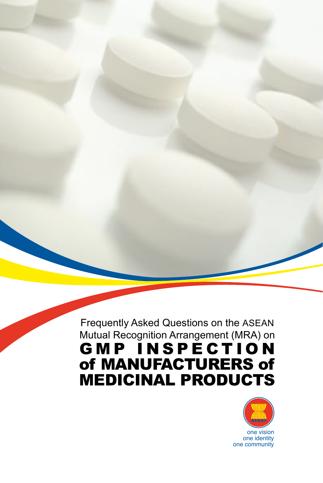Frequently Asked Questions on the ASEAN Mutual Recognition Arrangement (MRA) on **GMP INSPECTION** of MANUFACTURERS of MEDICINAL PRODUCTS

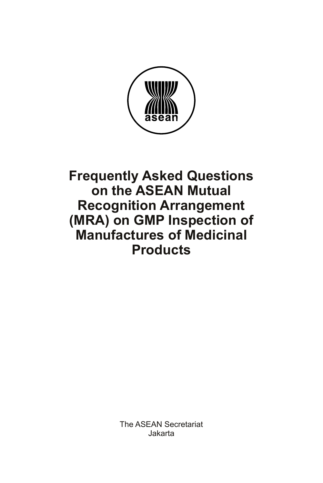

# **Frequently Asked Questions on the ASEAN Mutual Recognition Arrangement (MRA) on GMP Inspection of Manufactures of Medicinal Products**

The ASEAN Secretariat Jakarta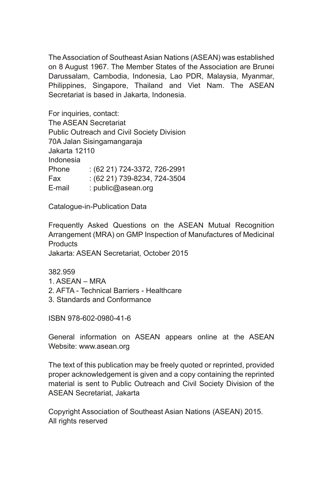The Association of Southeast Asian Nations (ASEAN) was established on 8 August 1967. The Member States of the Association are Brunei Darussalam, Cambodia, Indonesia, Lao PDR, Malaysia, Myanmar, Philippines, Singapore, Thailand and Viet Nam. The ASEAN Secretariat is based in Jakarta, Indonesia.

For inquiries, contact: The ASEAN Secretariat Public Outreach and Civil Society Division 70A Jalan Sisingamangaraja Jakarta 12110 Indonesia Phone : (62 21) 724-3372, 726-2991 Fax : (62 21) 739-8234, 724-3504 E-mail : public@asean.org

Catalogue-in-Publication Data

Frequently Asked Questions on the ASEAN Mutual Recognition Arrangement (MRA) on GMP Inspection of Manufactures of Medicinal **Products** 

Jakarta: ASEAN Secretariat, October 2015

382.959

- 1. ASEAN MRA
- 2. AFTA Technical Barriers Healthcare
- 3. Standards and Conformance

ISBN 978-602-0980-41-6

General information on ASEAN appears online at the ASEAN Website: www.asean.org

The text of this publication may be freely quoted or reprinted, provided proper acknowledgement is given and a copy containing the reprinted material is sent to Public Outreach and Civil Society Division of the ASEAN Secretariat, Jakarta

Copyright Association of Southeast Asian Nations (ASEAN) 2015. All rights reserved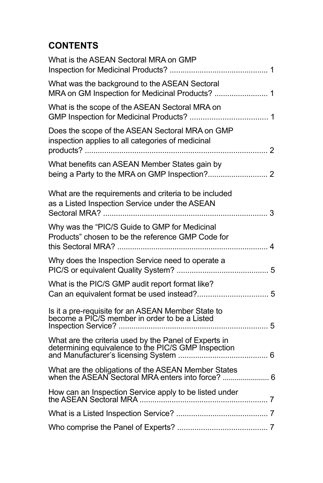# **CONTENTS**

| What is the ASEAN Sectoral MRA on GMP                                                                        |  |
|--------------------------------------------------------------------------------------------------------------|--|
| What was the background to the ASEAN Sectoral<br>MRA on GM Inspection for Medicinal Products?  1             |  |
| What is the scope of the ASEAN Sectoral MRA on                                                               |  |
| Does the scope of the ASEAN Sectoral MRA on GMP<br>inspection applies to all categories of medicinal         |  |
| What benefits can ASEAN Member States gain by                                                                |  |
| What are the requirements and criteria to be included<br>as a Listed Inspection Service under the ASEAN      |  |
| Why was the "PIC/S Guide to GMP for Medicinal<br>Products" chosen to be the reference GMP Code for           |  |
| Why does the Inspection Service need to operate a                                                            |  |
| What is the PIC/S GMP audit report format like?                                                              |  |
| Is it a pre-requisite for an ASEAN Member State to<br>become a PIC/S member in order to be a Listed          |  |
| What are the criteria used by the Panel of Experts in<br>determining equivalence to the PIC/S GMP Inspection |  |
| What are the obligations of the ASEAN Member States                                                          |  |
|                                                                                                              |  |
|                                                                                                              |  |
|                                                                                                              |  |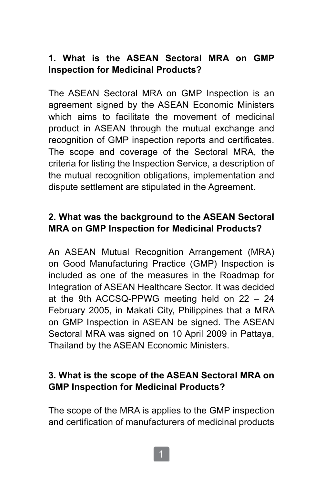# **1. What is the ASEAN Sectoral MRA on GMP Inspection for Medicinal Products?**

The ASEAN Sectoral MRA on GMP Inspection is an agreement signed by the ASEAN Economic Ministers which aims to facilitate the movement of medicinal product in ASEAN through the mutual exchange and recognition of GMP inspection reports and certificates. The scope and coverage of the Sectoral MRA, the criteria for listing the Inspection Service, a description of the mutual recognition obligations, implementation and dispute settlement are stipulated in the Agreement.

## **2. What was the background to the ASEAN Sectoral MRA on GMP Inspection for Medicinal Products?**

An ASEAN Mutual Recognition Arrangement (MRA) on Good Manufacturing Practice (GMP) Inspection is included as one of the measures in the Roadmap for Integration of ASEAN Healthcare Sector. It was decided at the 9th ACCSQ-PPWG meeting held on 22 – 24 February 2005, in Makati City, Philippines that a MRA on GMP Inspection in ASEAN be signed. The ASEAN Sectoral MRA was signed on 10 April 2009 in Pattaya, Thailand by the ASEAN Economic Ministers.

## **3. What is the scope of the ASEAN Sectoral MRA on GMP Inspection for Medicinal Products?**

The scope of the MRA is applies to the GMP inspection and certification of manufacturers of medicinal products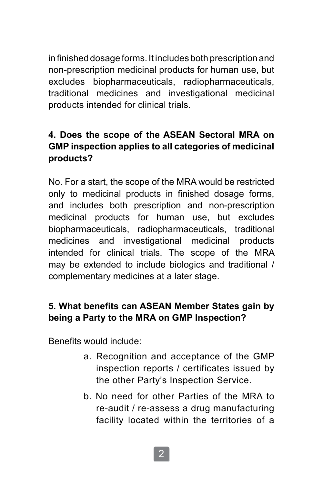in finished dosage forms. It includes both prescription and non-prescription medicinal products for human use, but excludes biopharmaceuticals, radiopharmaceuticals, traditional medicines and investigational medicinal products intended for clinical trials.

## **4. Does the scope of the ASEAN Sectoral MRA on GMP inspection applies to all categories of medicinal products?**

No. For a start, the scope of the MRA would be restricted only to medicinal products in finished dosage forms, and includes both prescription and non-prescription medicinal products for human use, but excludes biopharmaceuticals, radiopharmaceuticals, traditional medicines and investigational medicinal products intended for clinical trials. The scope of the MRA may be extended to include biologics and traditional / complementary medicines at a later stage.

## **5. What benefits can ASEAN Member States gain by being a Party to the MRA on GMP Inspection?**

Benefits would include:

- a. Recognition and acceptance of the GMP inspection reports / certificates issued by the other Party's Inspection Service.
- b. No need for other Parties of the MRA to re-audit / re-assess a drug manufacturing facility located within the territories of a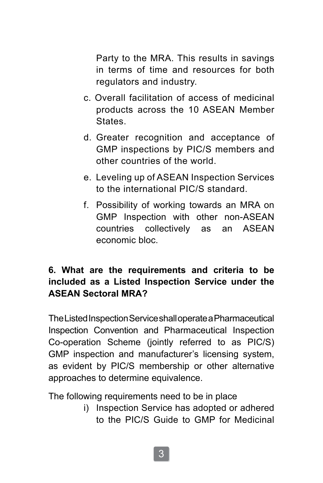Party to the MRA. This results in savings in terms of time and resources for both regulators and industry.

- c. Overall facilitation of access of medicinal products across the 10 ASEAN Member **States**
- d. Greater recognition and acceptance of GMP inspections by PIC/S members and other countries of the world.
- e. Leveling up of ASEAN Inspection Services to the international PIC/S standard.
- f. Possibility of working towards an MRA on GMP Inspection with other non-ASEAN countries collectively as an ASEAN economic bloc.

## **6. What are the requirements and criteria to be included as a Listed Inspection Service under the ASEAN Sectoral MRA?**

The Listed Inspection Service shall operate a Pharmaceutical Inspection Convention and Pharmaceutical Inspection Co-operation Scheme (jointly referred to as PIC/S) GMP inspection and manufacturer's licensing system, as evident by PIC/S membership or other alternative approaches to determine equivalence.

The following requirements need to be in place

i) Inspection Service has adopted or adhered to the PIC/S Guide to GMP for Medicinal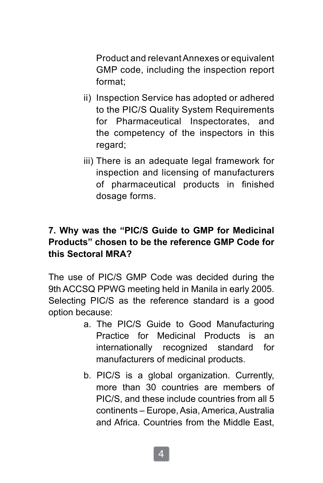Product and relevant Annexes or equivalent GMP code, including the inspection report format;

- ii) Inspection Service has adopted or adhered to the PIC/S Quality System Requirements for Pharmaceutical Inspectorates, and the competency of the inspectors in this regard;
- iii) There is an adequate legal framework for inspection and licensing of manufacturers of pharmaceutical products in finished dosage forms.

# **7. Why was the "PIC/S Guide to GMP for Medicinal Products" chosen to be the reference GMP Code for this Sectoral MRA?**

The use of PIC/S GMP Code was decided during the 9th ACCSQ PPWG meeting held in Manila in early 2005. Selecting PIC/S as the reference standard is a good option because:

- a. The PIC/S Guide to Good Manufacturing Practice for Medicinal Products is an internationally recognized standard for manufacturers of medicinal products.
- b. PIC/S is a global organization. Currently, more than 30 countries are members of PIC/S, and these include countries from all 5 continents – Europe, Asia, America, Australia and Africa. Countries from the Middle East,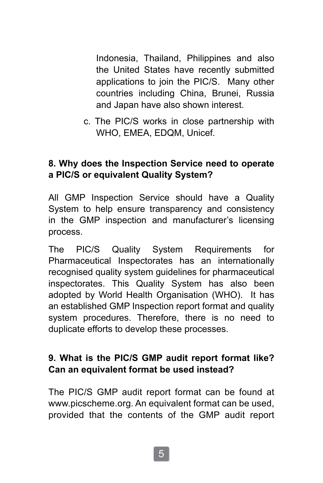Indonesia, Thailand, Philippines and also the United States have recently submitted applications to join the PIC/S. Many other countries including China, Brunei, Russia and Japan have also shown interest.

c. The PIC/S works in close partnership with WHO, EMEA, EDQM, Unicef.

#### **8. Why does the Inspection Service need to operate a PIC/S or equivalent Quality System?**

All GMP Inspection Service should have a Quality System to help ensure transparency and consistency in the GMP inspection and manufacturer's licensing process.

The PIC/S Quality System Requirements for Pharmaceutical Inspectorates has an internationally recognised quality system guidelines for pharmaceutical inspectorates. This Quality System has also been adopted by World Health Organisation (WHO). It has an established GMP Inspection report format and quality system procedures. Therefore, there is no need to duplicate efforts to develop these processes.

#### **9. What is the PIC/S GMP audit report format like? Can an equivalent format be used instead?**

The PIC/S GMP audit report format can be found at www.picscheme.org. An equivalent format can be used, provided that the contents of the GMP audit report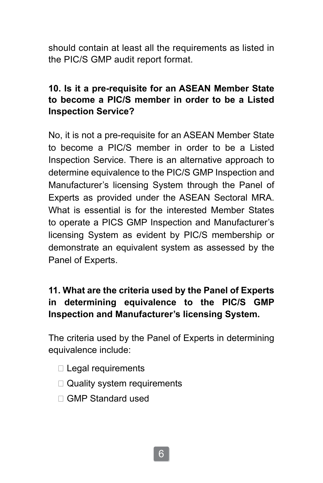should contain at least all the requirements as listed in the PIC/S GMP audit report format.

### **10. Is it a pre-requisite for an ASEAN Member State to become a PIC/S member in order to be a Listed Inspection Service?**

No, it is not a pre-requisite for an ASEAN Member State to become a PIC/S member in order to be a Listed Inspection Service. There is an alternative approach to determine equivalence to the PIC/S GMP Inspection and Manufacturer's licensing System through the Panel of Experts as provided under the ASEAN Sectoral MRA. What is essential is for the interested Member States to operate a PICS GMP Inspection and Manufacturer's licensing System as evident by PIC/S membership or demonstrate an equivalent system as assessed by the Panel of Experts.

## **11. What are the criteria used by the Panel of Experts in determining equivalence to the PIC/S GMP Inspection and Manufacturer's licensing System.**

The criteria used by the Panel of Experts in determining equivalence include:

- □ Legal requirements
- □ Quality system requirements
- □ GMP Standard used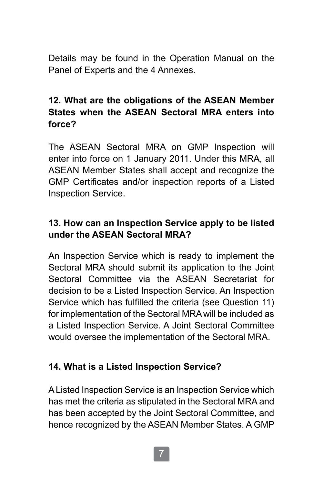Details may be found in the Operation Manual on the Panel of Experts and the 4 Annexes.

## **12. What are the obligations of the ASEAN Member States when the ASEAN Sectoral MRA enters into force?**

The ASEAN Sectoral MRA on GMP Inspection will enter into force on 1 January 2011. Under this MRA, all ASEAN Member States shall accept and recognize the GMP Certificates and/or inspection reports of a Listed Inspection Service.

### **13. How can an Inspection Service apply to be listed under the ASEAN Sectoral MRA?**

An Inspection Service which is ready to implement the Sectoral MRA should submit its application to the Joint Sectoral Committee via the ASEAN Secretariat for decision to be a Listed Inspection Service. An Inspection Service which has fulfilled the criteria (see Question 11) for implementation of the Sectoral MRA will be included as a Listed Inspection Service. A Joint Sectoral Committee would oversee the implementation of the Sectoral MRA.

#### **14. What is a Listed Inspection Service?**

A Listed Inspection Service is an Inspection Service which has met the criteria as stipulated in the Sectoral MRA and has been accepted by the Joint Sectoral Committee, and hence recognized by the ASEAN Member States. A GMP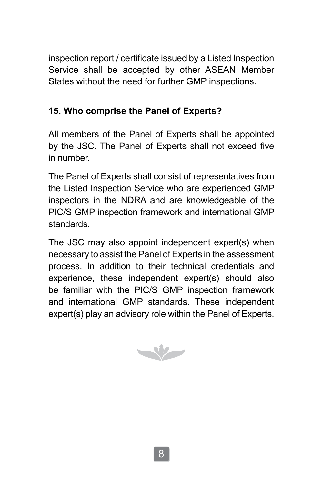inspection report / certificate issued by a Listed Inspection Service shall be accepted by other ASEAN Member States without the need for further GMP inspections.

## **15. Who comprise the Panel of Experts?**

All members of the Panel of Experts shall be appointed by the JSC. The Panel of Experts shall not exceed five in number.

The Panel of Experts shall consist of representatives from the Listed Inspection Service who are experienced GMP inspectors in the NDRA and are knowledgeable of the PIC/S GMP inspection framework and international GMP standards.

The JSC may also appoint independent expert(s) when necessary to assist the Panel of Experts in the assessment process. In addition to their technical credentials and experience, these independent expert(s) should also be familiar with the PIC/S GMP inspection framework and international GMP standards. These independent expert(s) play an advisory role within the Panel of Experts.